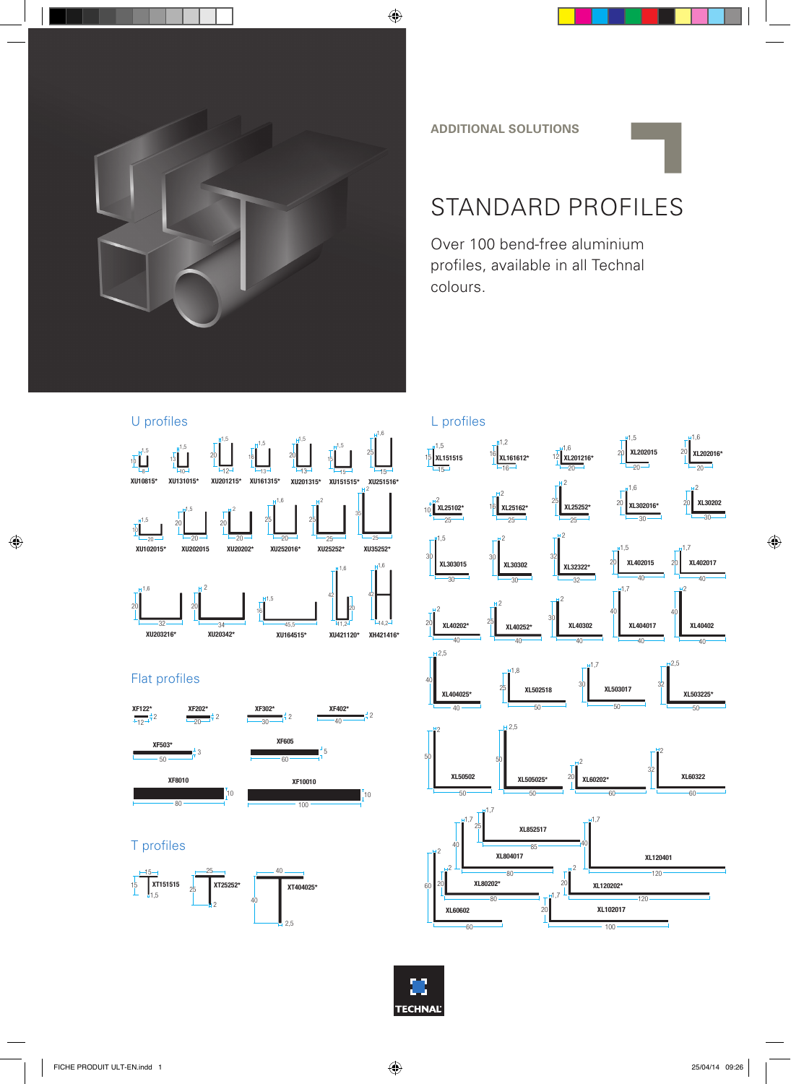

**ADDITIONAL SOLUTIONS**

## STANDARD PROFILES

Over 100 bend-free aluminium profiles, available in all Technal colours.



## Flat profiles



## T profiles